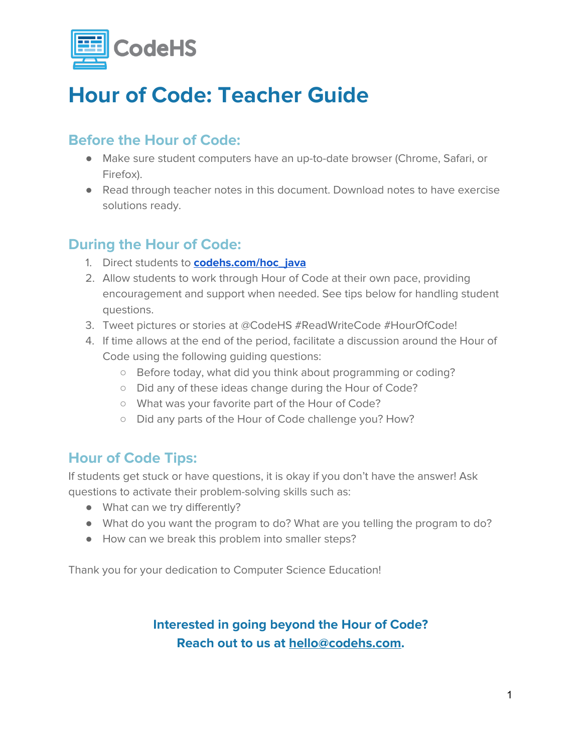

### **Hour of Code: Teacher Guide**

#### **Before the Hour of Code:**

- Make sure student computers have an up-to-date browser (Chrome, Safari, or Firefox).
- Read through teacher notes in this document. Download notes to have exercise solutions ready.

#### **During the Hour of Code:**

- 1. Direct students to **[codehs.com/hoc\\_java](http://codehs.com/hoc_java)**
- 2. Allow students to work through Hour of Code at their own pace, providing encouragement and support when needed. See tips below for handling student questions.
- 3. Tweet pictures or stories at @CodeHS #ReadWriteCode #HourOfCode!
- 4. If time allows at the end of the period, facilitate a discussion around the Hour of Code using the following guiding questions:
	- Before today, what did you think about programming or coding?
	- Did any of these ideas change during the Hour of Code?
	- What was your favorite part of the Hour of Code?
	- Did any parts of the Hour of Code challenge you? How?

#### **Hour of Code Tips:**

If students get stuck or have questions, it is okay if you don't have the answer! Ask questions to activate their problem-solving skills such as:

- What can we try differently?
- What do you want the program to do? What are you telling the program to do?
- How can we break this problem into smaller steps?

Thank you for your dedication to Computer Science Education!

#### **Interested in going beyond the Hour of Code? Reach out to us at [hello@codehs.com](mailto:hello@codehs.com).**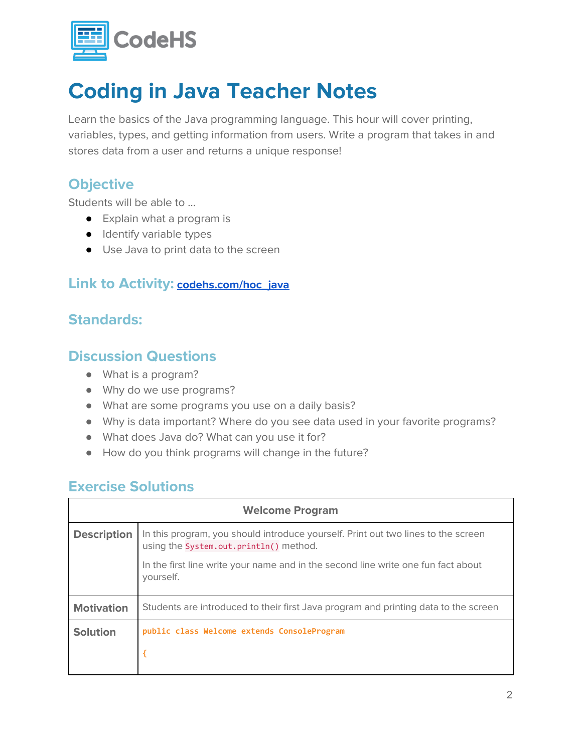

Learn the basics of the Java programming language. This hour will cover printing, variables, types, and getting information from users. Write a program that takes in and stores data from a user and returns a unique response!

#### **Objective**

Students will be able to …

- Explain what a program is
- Identify variable types
- Use Java to print data to the screen

#### **Link to Activity: [codehs.com/hoc\\_java](http://codehs.com/hoc_java)**

#### **Standards:**

#### **Discussion Questions**

- What is a program?
- Why do we use programs?
- What are some programs you use on a daily basis?
- Why is data important? Where do you see data used in your favorite programs?
- What does Java do? What can you use it for?
- How do you think programs will change in the future?

#### **Exercise Solutions**

| <b>Welcome Program</b> |                                                                                                                             |
|------------------------|-----------------------------------------------------------------------------------------------------------------------------|
| <b>Description</b>     | In this program, you should introduce yourself. Print out two lines to the screen<br>using the System.out.println() method. |
|                        | In the first line write your name and in the second line write one fun fact about<br>yourself.                              |
| <b>Motivation</b>      | Students are introduced to their first Java program and printing data to the screen                                         |
| <b>Solution</b>        | public class Welcome extends ConsoleProgram                                                                                 |
|                        |                                                                                                                             |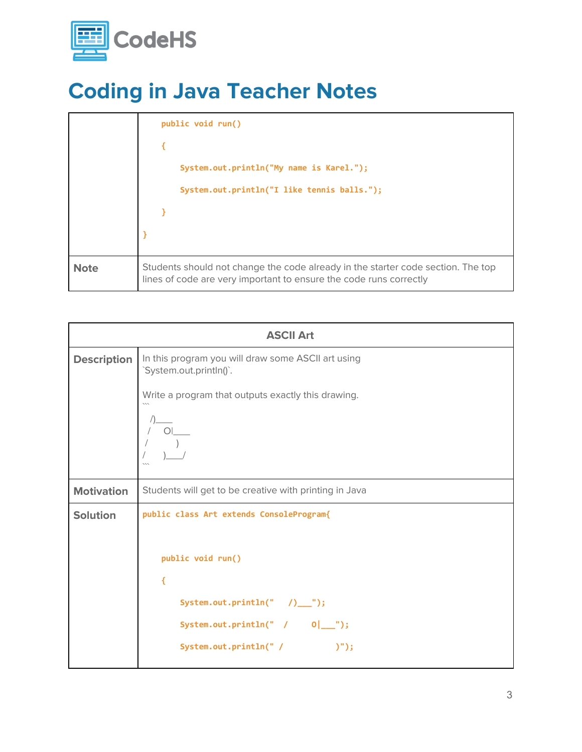

|             | public void run()                                                                                                                                      |
|-------------|--------------------------------------------------------------------------------------------------------------------------------------------------------|
|             |                                                                                                                                                        |
|             | System.out.println("My name is Karel.");                                                                                                               |
|             | System.out.println("I like tennis balls.");                                                                                                            |
|             |                                                                                                                                                        |
|             |                                                                                                                                                        |
|             |                                                                                                                                                        |
| <b>Note</b> | Students should not change the code already in the starter code section. The top<br>lines of code are very important to ensure the code runs correctly |

| <b>ASCII Art</b>   |                                                                                                                                                                                             |
|--------------------|---------------------------------------------------------------------------------------------------------------------------------------------------------------------------------------------|
| <b>Description</b> | In this program you will draw some ASCII art using<br>`System.out.println()`.<br>Write a program that outputs exactly this drawing.<br>$\overline{\phantom{a}}$<br>$\overline{\phantom{a}}$ |
| <b>Motivation</b>  | Students will get to be creative with printing in Java                                                                                                                                      |
| <b>Solution</b>    | public class Art extends ConsoleProgram{<br>public void run()<br>€<br>System.out.println(" /)__");<br>System.out.println(" / $0 \_\cdot$ ");<br>System.out.println(" / )");                 |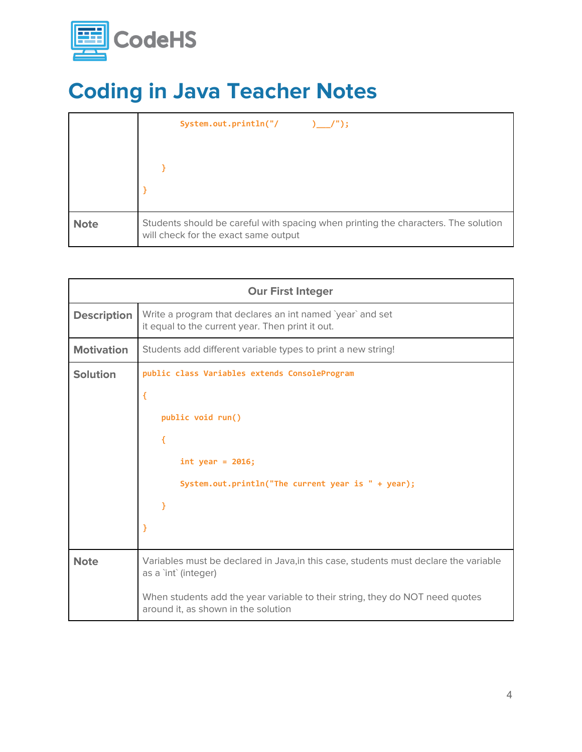

|             | System.out.println("/ $)$ (");                                                                                             |
|-------------|----------------------------------------------------------------------------------------------------------------------------|
|             |                                                                                                                            |
|             |                                                                                                                            |
| <b>Note</b> | Students should be careful with spacing when printing the characters. The solution<br>will check for the exact same output |

| <b>Our First Integer</b> |                                                                                                                     |
|--------------------------|---------------------------------------------------------------------------------------------------------------------|
| <b>Description</b>       | Write a program that declares an int named 'year' and set<br>it equal to the current year. Then print it out.       |
| <b>Motivation</b>        | Students add different variable types to print a new string!                                                        |
| <b>Solution</b>          | public class Variables extends ConsoleProgram                                                                       |
|                          | $\mathcal{L}_{\mathcal{L}}$                                                                                         |
|                          | public void run()                                                                                                   |
|                          | €                                                                                                                   |
|                          | $int year = 2016;$                                                                                                  |
|                          | System.out.println("The current year is " + year);                                                                  |
|                          |                                                                                                                     |
|                          | }                                                                                                                   |
| <b>Note</b>              | Variables must be declared in Java, in this case, students must declare the variable<br>as a 'int' (integer)        |
|                          | When students add the year variable to their string, they do NOT need quotes<br>around it, as shown in the solution |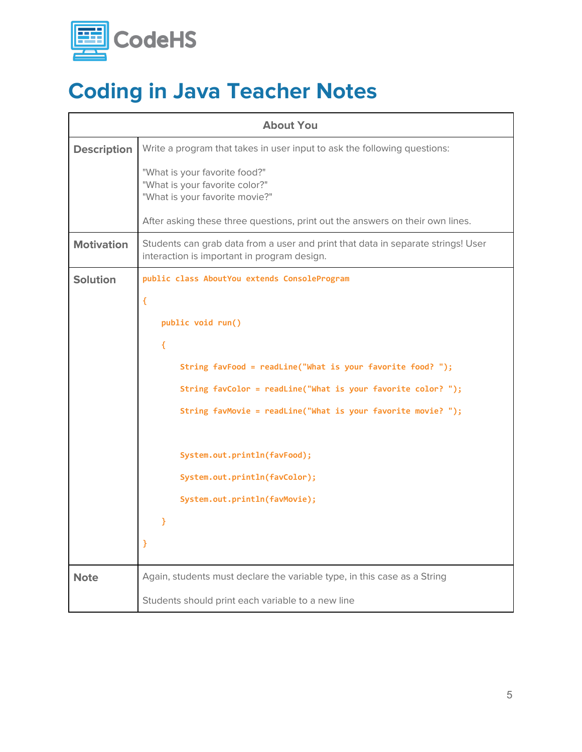

| <b>About You</b>   |                                                                                                                                 |
|--------------------|---------------------------------------------------------------------------------------------------------------------------------|
| <b>Description</b> | Write a program that takes in user input to ask the following questions:                                                        |
|                    | "What is your favorite food?"<br>"What is your favorite color?"<br>"What is your favorite movie?"                               |
|                    | After asking these three questions, print out the answers on their own lines.                                                   |
| <b>Motivation</b>  | Students can grab data from a user and print that data in separate strings! User<br>interaction is important in program design. |
| <b>Solution</b>    | public class AboutYou extends ConsoleProgram                                                                                    |
|                    | $\mathcal{L}_{\mathcal{L}}$                                                                                                     |
|                    | public void run()                                                                                                               |
|                    | $\mathcal{E}$                                                                                                                   |
|                    | String favFood = readLine("What is your favorite food? ");                                                                      |
|                    | String favColor = readLine("What is your favorite color? ");                                                                    |
|                    | String favMovie = readLine("What is your favorite movie? ");                                                                    |
|                    | System.out.println(favFood);                                                                                                    |
|                    | System.out.println(favColor);                                                                                                   |
|                    | System.out.println(favMovie);                                                                                                   |
|                    | }                                                                                                                               |
|                    |                                                                                                                                 |
| <b>Note</b>        | Again, students must declare the variable type, in this case as a String                                                        |
|                    | Students should print each variable to a new line                                                                               |